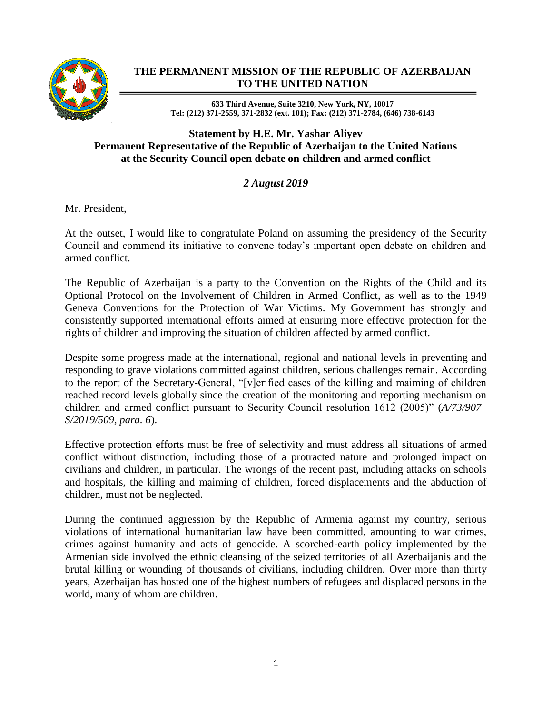

## **THE PERMANENT MISSION OF THE REPUBLIC OF AZERBAIJAN TO THE UNITED NATION**

**633 Third Avenue, Suite 3210, New York, NY, 10017 Tel: (212) 371-2559, 371-2832 (ext. 101); Fax: (212) 371-2784, (646) 738-6143**

## **Statement by H.E. Mr. Yashar Aliyev Permanent Representative of the Republic of Azerbaijan to the United Nations at the Security Council open debate on children and armed conflict**

## *2 August 2019*

Mr. President,

At the outset, I would like to congratulate Poland on assuming the presidency of the Security Council and commend its initiative to convene today's important open debate on children and armed conflict.

The Republic of Azerbaijan is a party to the Convention on the Rights of the Child and its Optional Protocol on the Involvement of Children in Armed Conflict, as well as to the 1949 Geneva Conventions for the Protection of War Victims. My Government has strongly and consistently supported international efforts aimed at ensuring more effective protection for the rights of children and improving the situation of children affected by armed conflict.

Despite some progress made at the international, regional and national levels in preventing and responding to grave violations committed against children, serious challenges remain. According to the report of the Secretary-General, "[v]erified cases of the killing and maiming of children reached record levels globally since the creation of the monitoring and reporting mechanism on children and armed conflict pursuant to Security Council resolution 1612 (2005)" (*A/73/907– S/2019/509, para. 6*).

Effective protection efforts must be free of selectivity and must address all situations of armed conflict without distinction, including those of a protracted nature and prolonged impact on civilians and children, in particular. The wrongs of the recent past, including attacks on schools and hospitals, the killing and maiming of children, forced displacements and the abduction of children, must not be neglected.

During the continued aggression by the Republic of Armenia against my country, serious violations of international humanitarian law have been committed, amounting to war crimes, crimes against humanity and acts of genocide. A scorched-earth policy implemented by the Armenian side involved the ethnic cleansing of the seized territories of all Azerbaijanis and the brutal killing or wounding of thousands of civilians, including children. Over more than thirty years, Azerbaijan has hosted one of the highest numbers of refugees and displaced persons in the world, many of whom are children.